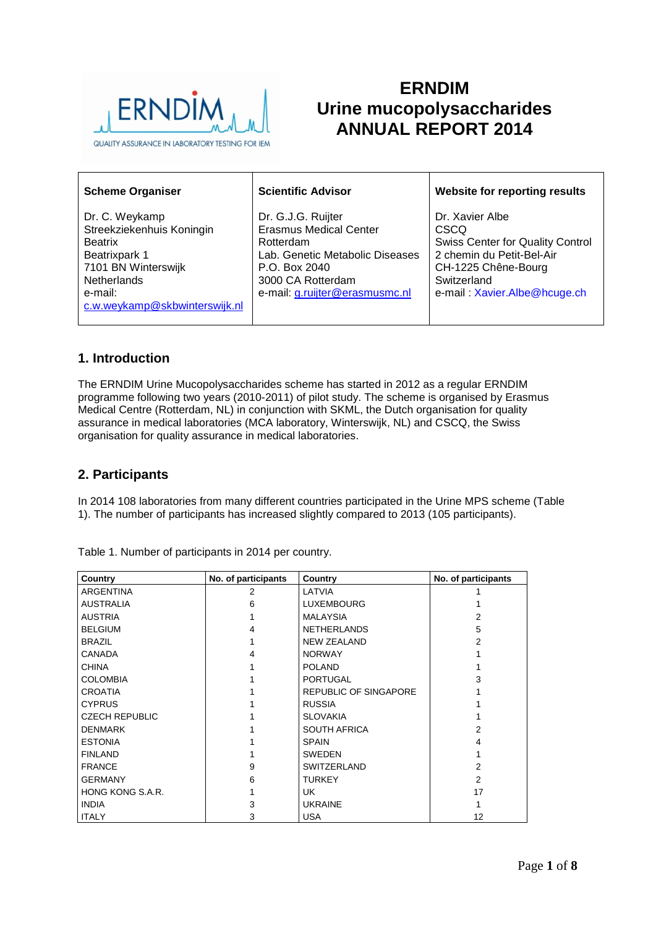

# **ERNDIM Urine mucopolysaccharides ANNUAL REPORT 2014**

| <b>Scheme Organiser</b>                                                                                                                                                 | <b>Scientific Advisor</b>                                                                                                                                                   | <b>Website for reporting results</b>                                                                                                                                  |
|-------------------------------------------------------------------------------------------------------------------------------------------------------------------------|-----------------------------------------------------------------------------------------------------------------------------------------------------------------------------|-----------------------------------------------------------------------------------------------------------------------------------------------------------------------|
| Dr. C. Weykamp<br>Streekziekenhuis Koningin<br><b>Beatrix</b><br>Beatrixpark 1<br>7101 BN Winterswijk<br><b>Netherlands</b><br>e-mail:<br>c.w.weykamp@skbwinterswijk.nl | Dr. G.J.G. Ruijter<br><b>Erasmus Medical Center</b><br>Rotterdam<br>Lab. Genetic Metabolic Diseases<br>P.O. Box 2040<br>3000 CA Rotterdam<br>e-mail: g.ruijter@erasmusmc.nl | Dr. Xavier Albe<br>CSCQ<br><b>Swiss Center for Quality Control</b><br>2 chemin du Petit-Bel-Air<br>CH-1225 Chêne-Bourg<br>Switzerland<br>e-mail: Xavier.Albe@hcuge.ch |

# **1. Introduction**

The ERNDIM Urine Mucopolysaccharides scheme has started in 2012 as a regular ERNDIM programme following two years (2010-2011) of pilot study. The scheme is organised by Erasmus Medical Centre (Rotterdam, NL) in conjunction with SKML, the Dutch organisation for quality assurance in medical laboratories (MCA laboratory, Winterswijk, NL) and CSCQ, the Swiss organisation for quality assurance in medical laboratories.

# **2. Participants**

In 2014 108 laboratories from many different countries participated in the Urine MPS scheme (Table 1). The number of participants has increased slightly compared to 2013 (105 participants).

| No. of participants<br>Country |   | Country                      | No. of participants |  |
|--------------------------------|---|------------------------------|---------------------|--|
| <b>ARGENTINA</b>               | 2 | LATVIA                       |                     |  |
| <b>AUSTRALIA</b>               | 6 | <b>LUXEMBOURG</b>            |                     |  |
| <b>AUSTRIA</b>                 |   | <b>MALAYSIA</b>              | 2                   |  |
| <b>BELGIUM</b>                 | 4 | <b>NETHERLANDS</b>           | 5                   |  |
| <b>BRAZIL</b>                  |   | <b>NEW ZEALAND</b>           | 2                   |  |
| <b>CANADA</b>                  | 4 | <b>NORWAY</b>                |                     |  |
| <b>CHINA</b>                   |   | <b>POLAND</b>                |                     |  |
| <b>COLOMBIA</b>                |   | <b>PORTUGAL</b>              | 3                   |  |
| <b>CROATIA</b>                 |   | <b>REPUBLIC OF SINGAPORE</b> |                     |  |
| <b>CYPRUS</b>                  |   | <b>RUSSIA</b>                |                     |  |
| <b>CZECH REPUBLIC</b>          |   | <b>SLOVAKIA</b>              |                     |  |
| <b>DENMARK</b>                 |   | <b>SOUTH AFRICA</b>          | 2                   |  |
| <b>ESTONIA</b>                 |   | <b>SPAIN</b>                 | 4                   |  |
| <b>FINLAND</b>                 |   | <b>SWEDEN</b>                |                     |  |
| <b>FRANCE</b>                  | 9 | <b>SWITZERLAND</b>           | 2                   |  |
| <b>GERMANY</b>                 | 6 | <b>TURKEY</b>                | $\mathfrak{p}$      |  |
| HONG KONG S.A.R.               |   | UK.                          | 17                  |  |
| <b>INDIA</b>                   | 3 | <b>UKRAINE</b>               |                     |  |
| <b>ITALY</b>                   | 3 | <b>USA</b>                   | 12                  |  |

Table 1. Number of participants in 2014 per country.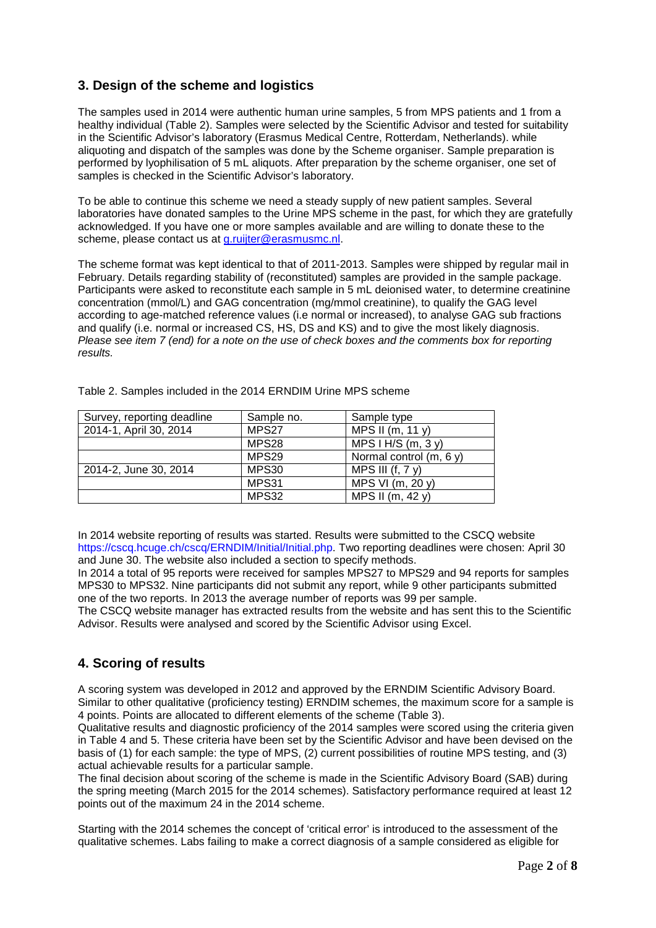# **3. Design of the scheme and logistics**

The samples used in 2014 were authentic human urine samples, 5 from MPS patients and 1 from a healthy individual (Table 2). Samples were selected by the Scientific Advisor and tested for suitability in the Scientific Advisor's laboratory (Erasmus Medical Centre, Rotterdam, Netherlands). while aliquoting and dispatch of the samples was done by the Scheme organiser. Sample preparation is performed by lyophilisation of 5 mL aliquots. After preparation by the scheme organiser, one set of samples is checked in the Scientific Advisor's laboratory.

To be able to continue this scheme we need a steady supply of new patient samples. Several laboratories have donated samples to the Urine MPS scheme in the past, for which they are gratefully acknowledged. If you have one or more samples available and are willing to donate these to the scheme, please contact us at [g.ruijter@erasmusmc.nl.](mailto:g.ruijter@erasmusmc.nl)

The scheme format was kept identical to that of 2011-2013. Samples were shipped by regular mail in February. Details regarding stability of (reconstituted) samples are provided in the sample package. Participants were asked to reconstitute each sample in 5 mL deionised water, to determine creatinine concentration (mmol/L) and GAG concentration (mg/mmol creatinine), to qualify the GAG level according to age-matched reference values (i.e normal or increased), to analyse GAG sub fractions and qualify (i.e. normal or increased CS, HS, DS and KS) and to give the most likely diagnosis. *Please see item 7 (end) for a note on the use of check boxes and the comments box for reporting results.*

| Survey, reporting deadline | Sample no. | Sample type               |
|----------------------------|------------|---------------------------|
| 2014-1, April 30, 2014     | MPS27      | MPS II $(m, 11 y)$        |
|                            | MPS28      | MPS $H/S(m, 3y)$          |
|                            | MPS29      | Normal control $(m, 6 y)$ |
| 2014-2, June 30, 2014      | MPS30      | MPS III $(f, 7y)$         |
|                            | MPS31      | MPS VI (m, 20 y)          |
|                            | MPS32      | MPS II (m, 42 y)          |

Table 2. Samples included in the 2014 ERNDIM Urine MPS scheme

In 2014 website reporting of results was started. Results were submitted to the CSCQ website https://cscq.hcuqe.ch/cscq/ERNDIM/Initial/Initial.php. Two reporting deadlines were chosen: April 30 and June 30. The website also included a section to specify methods.

In 2014 a total of 95 reports were received for samples MPS27 to MPS29 and 94 reports for samples MPS30 to MPS32. Nine participants did not submit any report, while 9 other participants submitted one of the two reports. In 2013 the average number of reports was 99 per sample.

The CSCQ website manager has extracted results from the website and has sent this to the Scientific Advisor. Results were analysed and scored by the Scientific Advisor using Excel.

# **4. Scoring of results**

A scoring system was developed in 2012 and approved by the ERNDIM Scientific Advisory Board. Similar to other qualitative (proficiency testing) ERNDIM schemes, the maximum score for a sample is 4 points. Points are allocated to different elements of the scheme (Table 3).

Qualitative results and diagnostic proficiency of the 2014 samples were scored using the criteria given in Table 4 and 5. These criteria have been set by the Scientific Advisor and have been devised on the basis of (1) for each sample: the type of MPS, (2) current possibilities of routine MPS testing, and (3) actual achievable results for a particular sample.

The final decision about scoring of the scheme is made in the Scientific Advisory Board (SAB) during the spring meeting (March 2015 for the 2014 schemes). Satisfactory performance required at least 12 points out of the maximum 24 in the 2014 scheme.

Starting with the 2014 schemes the concept of 'critical error' is introduced to the assessment of the qualitative schemes. Labs failing to make a correct diagnosis of a sample considered as eligible for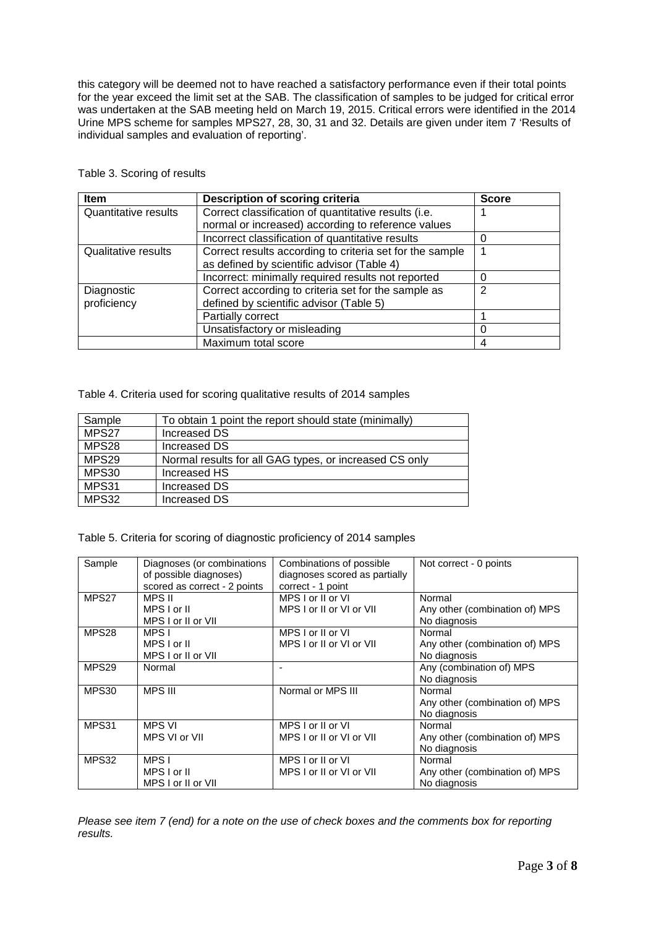this category will be deemed not to have reached a satisfactory performance even if their total points for the year exceed the limit set at the SAB. The classification of samples to be judged for critical error was undertaken at the SAB meeting held on March 19, 2015. Critical errors were identified in the 2014 Urine MPS scheme for samples MPS27, 28, 30, 31 and 32. Details are given under item 7 'Results of individual samples and evaluation of reporting'.

| <b>Item</b>                                                                         | <b>Description of scoring criteria</b>                   | <b>Score</b> |
|-------------------------------------------------------------------------------------|----------------------------------------------------------|--------------|
| Correct classification of quantitative results (i.e.<br><b>Quantitative results</b> |                                                          |              |
|                                                                                     | normal or increased) according to reference values       |              |
|                                                                                     | Incorrect classification of quantitative results         |              |
| <b>Qualitative results</b>                                                          | Correct results according to criteria set for the sample |              |
|                                                                                     | as defined by scientific advisor (Table 4)               |              |
|                                                                                     | Incorrect: minimally required results not reported       |              |
| Correct according to criteria set for the sample as<br>Diagnostic                   |                                                          | 2            |
| proficiency                                                                         | defined by scientific advisor (Table 5)                  |              |
|                                                                                     | Partially correct                                        |              |
|                                                                                     | Unsatisfactory or misleading                             |              |
|                                                                                     | Maximum total score                                      |              |

Table 3. Scoring of results

Table 4. Criteria used for scoring qualitative results of 2014 samples

| Sample | To obtain 1 point the report should state (minimally)  |
|--------|--------------------------------------------------------|
| MPS27  | Increased DS                                           |
| MPS28  | Increased DS                                           |
| MPS29  | Normal results for all GAG types, or increased CS only |
| MPS30  | Increased HS                                           |
| MPS31  | Increased DS                                           |
| MPS32  | Increased DS                                           |

Table 5. Criteria for scoring of diagnostic proficiency of 2014 samples

| Sample            | Diagnoses (or combinations<br>of possible diagnoses)<br>scored as correct - 2 points | Combinations of possible<br>diagnoses scored as partially<br>correct - 1 point | Not correct - 0 points                                   |
|-------------------|--------------------------------------------------------------------------------------|--------------------------------------------------------------------------------|----------------------------------------------------------|
| MPS27             | MPS II<br>MPS I or II<br>MPS I or II or VII                                          | MPS I or II or VI<br>MPS I or II or VI or VII                                  | Normal<br>Any other (combination of) MPS<br>No diagnosis |
| MPS28             | MPS I<br>MPS I or II<br>MPS I or II or VII                                           | MPS I or II or VI<br>MPS I or II or VI or VII                                  | Normal<br>Any other (combination of) MPS<br>No diagnosis |
| MPS <sub>29</sub> | Normal                                                                               |                                                                                | Any (combination of) MPS<br>No diagnosis                 |
| MPS30             | <b>MPS III</b>                                                                       | Normal or MPS III                                                              | Normal<br>Any other (combination of) MPS<br>No diagnosis |
| MPS31             | <b>MPS VI</b><br>MPS VI or VII                                                       | MPS I or II or VI<br>MPS I or II or VI or VII                                  | Normal<br>Any other (combination of) MPS<br>No diagnosis |
| MPS32             | MPS I<br>MPS I or II<br>MPS I or II or VII                                           | MPS I or II or VI<br>MPS I or II or VI or VII                                  | Normal<br>Any other (combination of) MPS<br>No diagnosis |

*Please see item 7 (end) for a note on the use of check boxes and the comments box for reporting results.*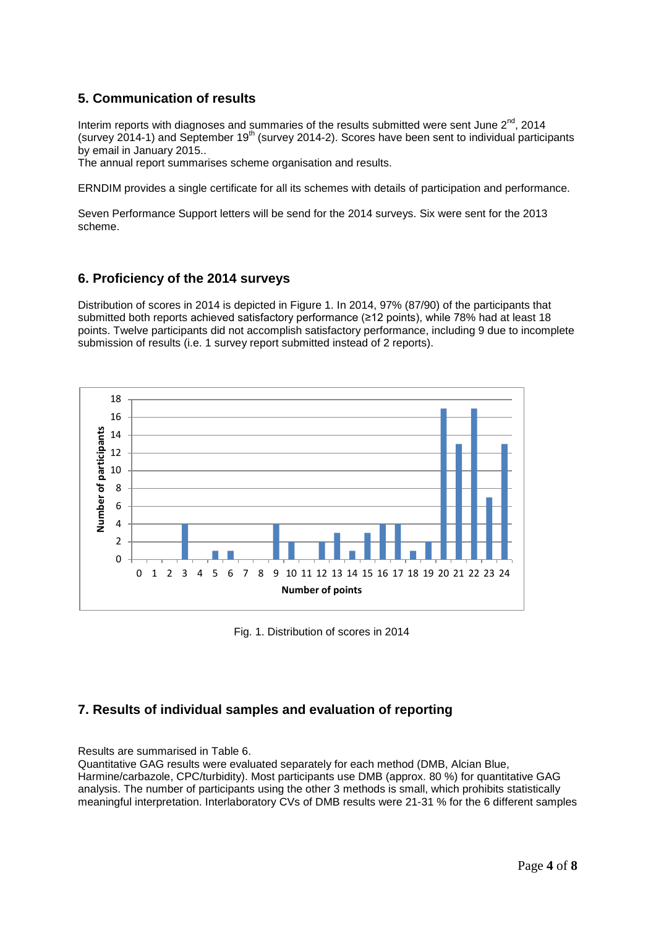# **5. Communication of results**

Interim reports with diagnoses and summaries of the results submitted were sent June  $2^{nd}$ , 2014 (survey 2014-1) and September  $19<sup>th</sup>$  (survey 2014-2). Scores have been sent to individual participants by email in January 2015..

The annual report summarises scheme organisation and results.

ERNDIM provides a single certificate for all its schemes with details of participation and performance.

Seven Performance Support letters will be send for the 2014 surveys. Six were sent for the 2013 scheme.

### **6. Proficiency of the 2014 surveys**

Distribution of scores in 2014 is depicted in Figure 1. In 2014, 97% (87/90) of the participants that submitted both reports achieved satisfactory performance (≥12 points), while 78% had at least 18 points. Twelve participants did not accomplish satisfactory performance, including 9 due to incomplete submission of results (i.e. 1 survey report submitted instead of 2 reports).



Fig. 1. Distribution of scores in 2014

# **7. Results of individual samples and evaluation of reporting**

### Results are summarised in Table 6.

Quantitative GAG results were evaluated separately for each method (DMB, Alcian Blue, Harmine/carbazole, CPC/turbidity). Most participants use DMB (approx. 80 %) for quantitative GAG analysis. The number of participants using the other 3 methods is small, which prohibits statistically meaningful interpretation. Interlaboratory CVs of DMB results were 21-31 % for the 6 different samples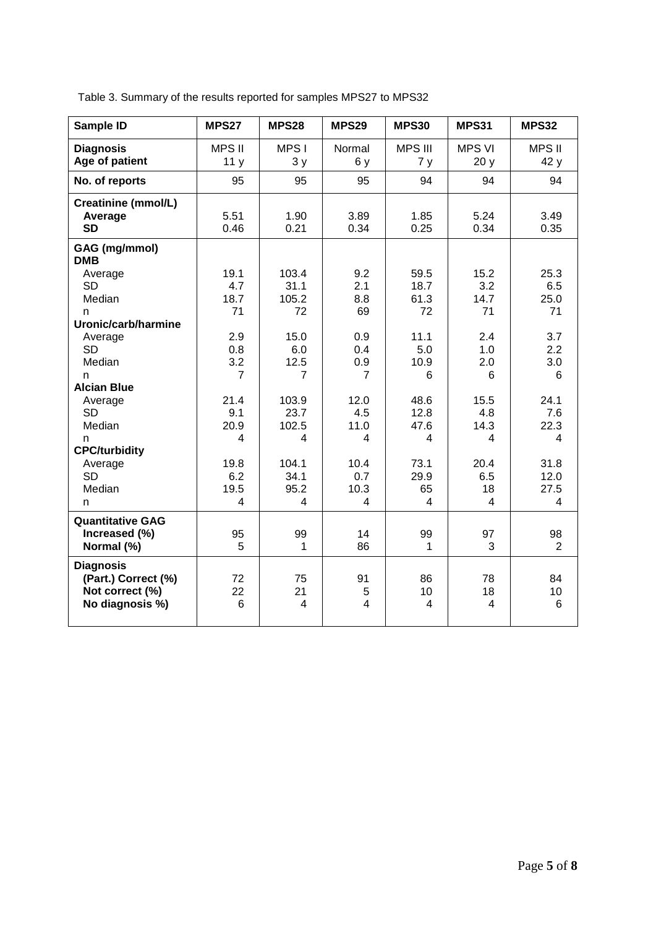| Sample ID                                                                     | <b>MPS27</b>                                   | MPS28                                            | <b>MPS29</b>                  | <b>MPS30</b>                         | <b>MPS31</b>               | MPS32                     |
|-------------------------------------------------------------------------------|------------------------------------------------|--------------------------------------------------|-------------------------------|--------------------------------------|----------------------------|---------------------------|
| <b>Diagnosis</b><br>Age of patient                                            | <b>MPS II</b><br>11 <sub>y</sub>               | MPS I<br>3y                                      | Normal<br>6y                  | <b>MPS III</b><br>7y                 | <b>MPS VI</b><br>20y       | <b>MPS II</b><br>42y      |
| No. of reports                                                                | 95                                             | 95                                               | 95                            | 94                                   | 94                         | 94                        |
| <b>Creatinine (mmol/L)</b><br>Average<br><b>SD</b>                            | 5.51<br>0.46                                   | 1.90<br>0.21                                     | 3.89<br>0.34                  | 1.85<br>0.25                         | 5.24<br>0.34               | 3.49<br>0.35              |
| GAG (mg/mmol)<br><b>DMB</b><br>Average<br><b>SD</b><br>Median<br>n            | 19.1<br>4.7<br>18.7<br>71                      | 103.4<br>31.1<br>105.2<br>72                     | 9.2<br>2.1<br>8.8<br>69       | 59.5<br>18.7<br>61.3<br>72           | 15.2<br>3.2<br>14.7<br>71  | 25.3<br>6.5<br>25.0<br>71 |
| Uronic/carb/harmine<br>Average<br><b>SD</b>                                   | 2.9<br>0.8                                     | 15.0<br>6.0                                      | 0.9<br>0.4                    | 11.1<br>5.0                          | 2.4<br>1.0                 | 3.7<br>2.2                |
| Median<br>n<br><b>Alcian Blue</b><br>Average                                  | 3.2<br>$\overline{7}$<br>21.4                  | 12.5<br>$\overline{7}$<br>103.9                  | 0.9<br>$\overline{7}$<br>12.0 | 10.9<br>6<br>48.6                    | 2.0<br>6<br>15.5           | 3.0<br>6<br>24.1          |
| <b>SD</b><br>Median<br>n                                                      | 9.1<br>20.9<br>4                               | 23.7<br>102.5<br>4                               | 4.5<br>11.0<br>4              | 12.8<br>47.6<br>4                    | 4.8<br>14.3<br>4           | 7.6<br>22.3<br>4          |
| <b>CPC/turbidity</b><br>Average<br><b>SD</b><br>Median<br>n                   | 19.8<br>6.2<br>19.5<br>$\overline{\mathbf{4}}$ | 104.1<br>34.1<br>95.2<br>$\overline{\mathbf{4}}$ | 10.4<br>0.7<br>10.3<br>4      | 73.1<br>29.9<br>65<br>$\overline{4}$ | 20.4<br>6.5<br>18<br>4     | 31.8<br>12.0<br>27.5<br>4 |
| <b>Quantitative GAG</b><br>Increased (%)<br>Normal (%)                        | 95<br>5                                        | 99<br>1                                          | 14<br>86                      | 99<br>$\mathbf 1$                    | 97<br>3                    | 98<br>2                   |
| <b>Diagnosis</b><br>(Part.) Correct (%)<br>Not correct (%)<br>No diagnosis %) | 72<br>22<br>6                                  | 75<br>21<br>4                                    | 91<br>5<br>$\overline{4}$     | 86<br>10<br>$\overline{4}$           | 78<br>18<br>$\overline{4}$ | 84<br>10<br>$\,6$         |

Table 3. Summary of the results reported for samples MPS27 to MPS32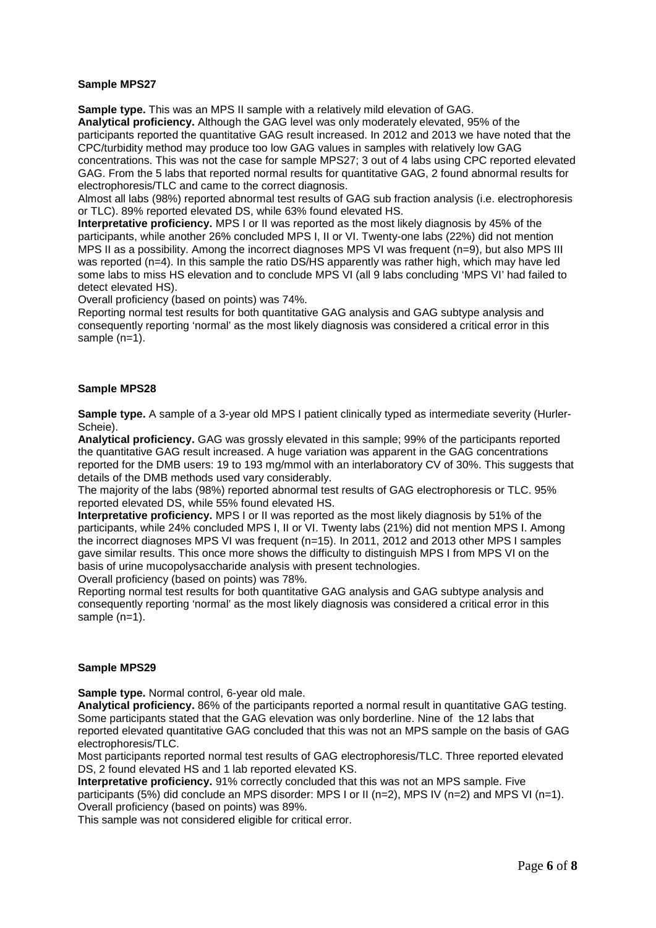### **Sample MPS27**

**Sample type.** This was an MPS II sample with a relatively mild elevation of GAG. **Analytical proficiency.** Although the GAG level was only moderately elevated, 95% of the participants reported the quantitative GAG result increased. In 2012 and 2013 we have noted that the CPC/turbidity method may produce too low GAG values in samples with relatively low GAG concentrations. This was not the case for sample MPS27; 3 out of 4 labs using CPC reported elevated GAG. From the 5 labs that reported normal results for quantitative GAG, 2 found abnormal results for electrophoresis/TLC and came to the correct diagnosis.

Almost all labs (98%) reported abnormal test results of GAG sub fraction analysis (i.e. electrophoresis or TLC). 89% reported elevated DS, while 63% found elevated HS.

**Interpretative proficiency.** MPS I or II was reported as the most likely diagnosis by 45% of the participants, while another 26% concluded MPS I, II or VI. Twenty-one labs (22%) did not mention MPS II as a possibility. Among the incorrect diagnoses MPS VI was frequent (n=9), but also MPS III was reported (n=4). In this sample the ratio DS/HS apparently was rather high, which may have led some labs to miss HS elevation and to conclude MPS VI (all 9 labs concluding 'MPS VI' had failed to detect elevated HS).

Overall proficiency (based on points) was 74%.

Reporting normal test results for both quantitative GAG analysis and GAG subtype analysis and consequently reporting 'normal' as the most likely diagnosis was considered a critical error in this sample (n=1).

### **Sample MPS28**

**Sample type.** A sample of a 3-year old MPS I patient clinically typed as intermediate severity (Hurler-Scheie).

**Analytical proficiency.** GAG was grossly elevated in this sample; 99% of the participants reported the quantitative GAG result increased. A huge variation was apparent in the GAG concentrations reported for the DMB users: 19 to 193 mg/mmol with an interlaboratory CV of 30%. This suggests that details of the DMB methods used vary considerably.

The majority of the labs (98%) reported abnormal test results of GAG electrophoresis or TLC. 95% reported elevated DS, while 55% found elevated HS.

**Interpretative proficiency.** MPS I or II was reported as the most likely diagnosis by 51% of the participants, while 24% concluded MPS I, II or VI. Twenty labs (21%) did not mention MPS I. Among the incorrect diagnoses MPS VI was frequent (n=15). In 2011, 2012 and 2013 other MPS I samples gave similar results. This once more shows the difficulty to distinguish MPS I from MPS VI on the basis of urine mucopolysaccharide analysis with present technologies.

Overall proficiency (based on points) was 78%.

Reporting normal test results for both quantitative GAG analysis and GAG subtype analysis and consequently reporting 'normal' as the most likely diagnosis was considered a critical error in this sample (n=1).

### **Sample MPS29**

**Sample type.** Normal control, 6-year old male.

**Analytical proficiency.** 86% of the participants reported a normal result in quantitative GAG testing. Some participants stated that the GAG elevation was only borderline. Nine of the 12 labs that reported elevated quantitative GAG concluded that this was not an MPS sample on the basis of GAG electrophoresis/TLC.

Most participants reported normal test results of GAG electrophoresis/TLC. Three reported elevated DS, 2 found elevated HS and 1 lab reported elevated KS.

**Interpretative proficiency.** 91% correctly concluded that this was not an MPS sample. Five participants (5%) did conclude an MPS disorder: MPS I or II (n=2), MPS IV (n=2) and MPS VI (n=1). Overall proficiency (based on points) was 89%.

This sample was not considered eligible for critical error.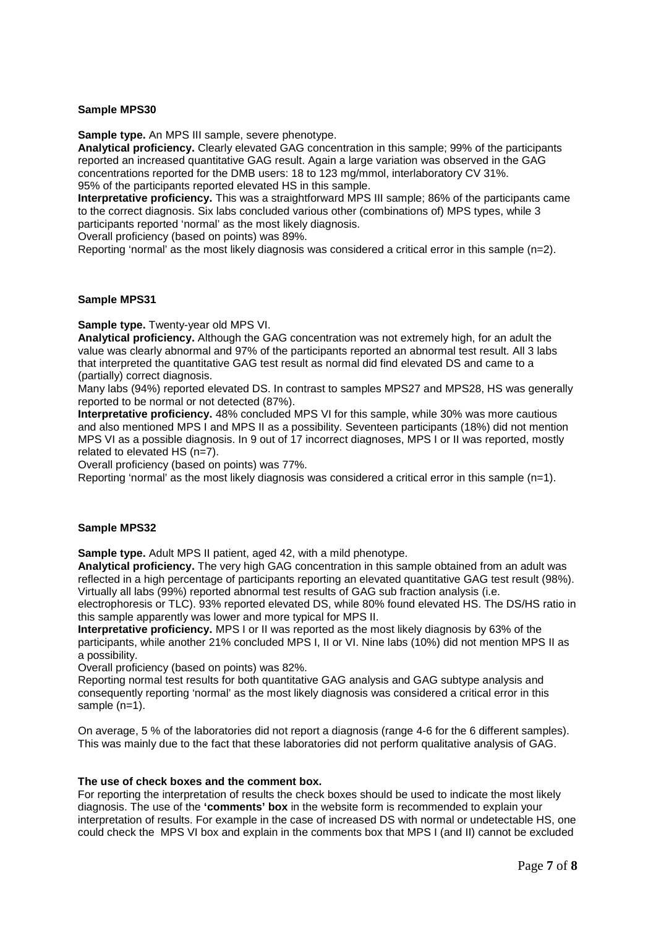### **Sample MPS30**

**Sample type.** An MPS III sample, severe phenotype.

**Analytical proficiency.** Clearly elevated GAG concentration in this sample; 99% of the participants reported an increased quantitative GAG result. Again a large variation was observed in the GAG concentrations reported for the DMB users: 18 to 123 mg/mmol, interlaboratory CV 31%. 95% of the participants reported elevated HS in this sample.

**Interpretative proficiency.** This was a straightforward MPS III sample; 86% of the participants came to the correct diagnosis. Six labs concluded various other (combinations of) MPS types, while 3 participants reported 'normal' as the most likely diagnosis.

Overall proficiency (based on points) was 89%.

Reporting 'normal' as the most likely diagnosis was considered a critical error in this sample (n=2).

#### **Sample MPS31**

**Sample type.** Twenty-year old MPS VI.

**Analytical proficiency.** Although the GAG concentration was not extremely high, for an adult the value was clearly abnormal and 97% of the participants reported an abnormal test result. All 3 labs that interpreted the quantitative GAG test result as normal did find elevated DS and came to a (partially) correct diagnosis.

Many labs (94%) reported elevated DS. In contrast to samples MPS27 and MPS28, HS was generally reported to be normal or not detected (87%).

**Interpretative proficiency.** 48% concluded MPS VI for this sample, while 30% was more cautious and also mentioned MPS I and MPS II as a possibility. Seventeen participants (18%) did not mention MPS VI as a possible diagnosis. In 9 out of 17 incorrect diagnoses, MPS I or II was reported, mostly related to elevated HS (n=7).

Overall proficiency (based on points) was 77%.

Reporting 'normal' as the most likely diagnosis was considered a critical error in this sample (n=1).

### **Sample MPS32**

**Sample type.** Adult MPS II patient, aged 42, with a mild phenotype.

**Analytical proficiency.** The very high GAG concentration in this sample obtained from an adult was reflected in a high percentage of participants reporting an elevated quantitative GAG test result (98%). Virtually all labs (99%) reported abnormal test results of GAG sub fraction analysis (i.e.

electrophoresis or TLC). 93% reported elevated DS, while 80% found elevated HS. The DS/HS ratio in this sample apparently was lower and more typical for MPS II.

**Interpretative proficiency.** MPS I or II was reported as the most likely diagnosis by 63% of the participants, while another 21% concluded MPS I, II or VI. Nine labs (10%) did not mention MPS II as a possibility.

Overall proficiency (based on points) was 82%.

Reporting normal test results for both quantitative GAG analysis and GAG subtype analysis and consequently reporting 'normal' as the most likely diagnosis was considered a critical error in this sample (n=1).

On average, 5 % of the laboratories did not report a diagnosis (range 4-6 for the 6 different samples). This was mainly due to the fact that these laboratories did not perform qualitative analysis of GAG.

#### **The use of check boxes and the comment box.**

For reporting the interpretation of results the check boxes should be used to indicate the most likely diagnosis. The use of the **'comments' box** in the website form is recommended to explain your interpretation of results. For example in the case of increased DS with normal or undetectable HS, one could check the MPS VI box and explain in the comments box that MPS I (and II) cannot be excluded